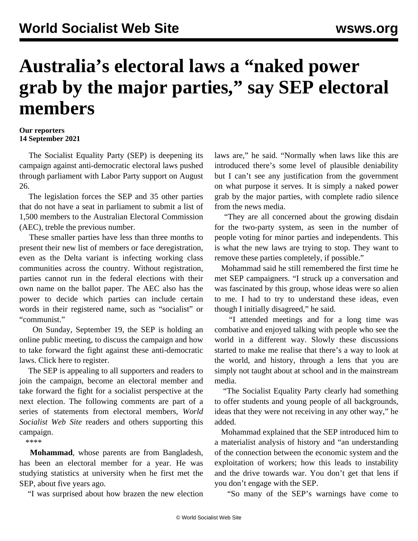## **Australia's electoral laws a "naked power grab by the major parties," say SEP electoral members**

## **Our reporters 14 September 2021**

 The Socialist Equality Party (SEP) is deepening its campaign against anti-democratic electoral laws pushed through parliament with Labor Party support on August 26.

 The legislation forces the SEP and 35 other parties that do not have a seat in parliament to submit a list of 1,500 members to the Australian Electoral Commission (AEC), treble the previous number.

 These smaller parties have less than three months to present their new list of members or face deregistration, even as the Delta variant is infecting working class communities across the country. Without registration, parties cannot run in the federal elections with their own name on the ballot paper. The AEC also has [the](/en/articles/2021/09/11/soci-s11.html) [power](/en/articles/2021/09/11/soci-s11.html) to decide which parties can include certain words in their registered name, such as "socialist" or "communist."

 On Sunday, September 19, the SEP is holding an online public meeting, to discuss the campaign and how to take forward the fight against these anti-democratic laws. Click [here](https://us06web.zoom.us/webinar/register/WN_3w8MaFnESJuxWP5_QKKBiw) to register.

 The SEP is appealing to all supporters and readers to join the campaign, become an [electoral member](/en/special/pages/sep/australia/home.html#emjoin) and take forward the fight for a socialist perspective at the next election. The following comments are part of a series of statements from electoral members, *World Socialist Web Site* readers and others supporting this campaign.

\*\*\*\*

 **Mohammad**, whose parents are from Bangladesh, has been an electoral member for a year. He was studying statistics at university when he first met the SEP, about five years ago.

"I was surprised about how brazen the new election

laws are," he said. "Normally when laws like this are introduced there's some level of plausible deniability but I can't see any justification from the government on what purpose it serves. It is simply a naked power grab by the major parties, with complete radio silence from the news media.

 "They are all concerned about the growing disdain for the two-party system, as seen in the number of people voting for minor parties and independents. This is what the new laws are trying to stop. They want to remove these parties completely, if possible."

 Mohammad said he still remembered the first time he met SEP campaigners. "I struck up a conversation and was fascinated by this group, whose ideas were so alien to me. I had to try to understand these ideas, even though I initially disagreed," he said.

 "I attended meetings and for a long time was combative and enjoyed talking with people who see the world in a different way. Slowly these discussions started to make me realise that there's a way to look at the world, and history, through a lens that you are simply not taught about at school and in the mainstream media.

 "The Socialist Equality Party clearly had something to offer students and young people of all backgrounds, ideas that they were not receiving in any other way," he added.

 Mohammad explained that the SEP introduced him to a materialist analysis of history and "an understanding of the connection between the economic system and the exploitation of workers; how this leads to instability and the drive towards war. You don't get that lens if you don't engage with the SEP.

"So many of the SEP's warnings have come to